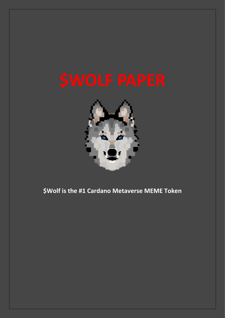

\$Wolf is the #1 Cardano Metaverse MEME Token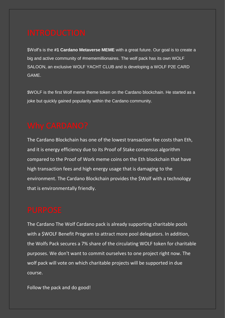\$Wolf's is the **#1 Cardano Metaverse MEME** with a great future. Our goal is to create a big and active community of #mememillionaires. The wolf pack has its own WOLF SALOON, an exclusive WOLF YACHT CLUB and is developing a WOLF P2E CARD GAME.

\$WOLF is the first Wolf meme theme token on the Cardano blockchain. He started as a joke but quickly gained popularity within the Cardano community.

The Cardano Blockchain has one of the lowest transaction fee costs than Eth, and it is energy efficiency due to its Proof of Stake consensus algorithm compared to the Proof of Work meme coins on the Eth blockchain that have high transaction fees and high energy usage that is damaging to the environment. The Cardano Blockchain provides the \$Wolf with a technology that is environmentally friendly.

The Cardano The Wolf Cardano pack is already supporting charitable pools with a \$WOLF Benefit Program to attract more pool delegators. In addition, the Wolfs Pack secures a 7% share of the circulating WOLF token for charitable purposes. We don't want to commit ourselves to one project right now. The wolf pack will vote on which charitable projects will be supported in due course.

Follow the pack and do good!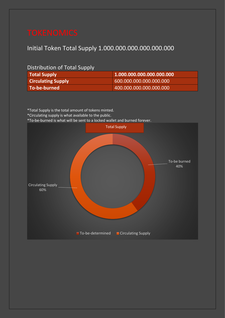## Initial Token Total Supply 1.000.000.000.000.000.000

## Distribution of Total Supply

| <b>Total Supply</b>       | 1.000.000.000.000.000.000 |
|---------------------------|---------------------------|
| <b>Circulating Supply</b> | 600.000.000.000.000.000   |
| To-be-burned              | 400.000.000.000.000.000   |

\*Total Supply is the total amount of tokens minted.

\*Circulating supply is what available to the public.

\*To-be-burned is what will be sent to a locked wallet and burned forever.

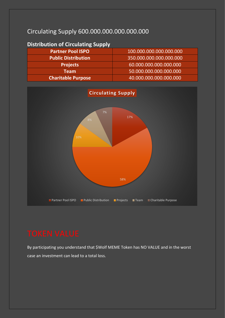## Circulating Supply 600.000.000.000.000.000

| <b>Distribution of Circulating Supply</b> |                         |
|-------------------------------------------|-------------------------|
| <b>Partner Pool ISPO</b>                  | 100.000.000.000.000.000 |
| <b>Public Distribution</b>                | 350.000.000.000.000.000 |
| <b>Projects</b>                           | 60.000.000.000.000.000  |
| <b>Team</b>                               | 50.000.000.000.000.000  |
| <b>Charitable Purpose</b>                 | 40.000.000.000.000.000  |



By participating you understand that \$Wolf MEME Token has NO VALUE and in the worst case an investment can lead to a total loss.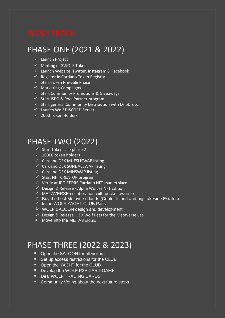## PHASE ONE (2021 & 2022)

- ✓ Launch Project
- ✓ Minting of \$WOLF Token
- ✓ Launch Website, Twitter, Instagram & Facebook
- ✓ Register in Cardano Token Registry
- ✓ Start Token Pre-Sale Phase
- $\checkmark$  Marketing Campaigns
- ✓ Start Community Promotions & Giveaways
- ✓ Start ISPO & Pool Partner program
- $\checkmark$  Start general Community Distribution with DripDropz
- ✓ Launch Wolf DISCORD Server
- ✓ 2000 Token Holders

## PHASE TWO (2022)

- $\checkmark$  Start token sale phase 2
- $\sqrt{ }$  10000 token holders
- ✓ Cardano DEX MUESLISWAP listing
- ✓ Cardano DEX SUNDAESWAP listing
- ✓ Cardano DEX MINSWAP listing
- $\checkmark$  Start NFT CREATOR program
- ✓ Verify at JPG.STORE Cardano NFT marketplace
- ✓ Design & Release Alpha Wolves NFT Edition
- ✓ METAVERSE collaboration with pockettowne.io
- $\checkmark$  Buy the best Metaverse lands (Center Island and big Lakeside Estates)
- ✓ Issue WOLF YACHT CLUB Pass
- $\triangleright$  WOLF SALOON design and development
- $\triangleright$  Design & Release 3D Wolf Pets for the Metaverse use
- **■** Move into the METAVERSE

# PHASE THREE (2022 & 2023)

- Open the SALOON for all visitors
- Set up access restrictions for the CLUB
- Open the YACHT for the CLUB
- **Develop the WOLF P2E CARD GAME**
- Deal WOLF TRADING CARDS
- Community Voting about the next future steps